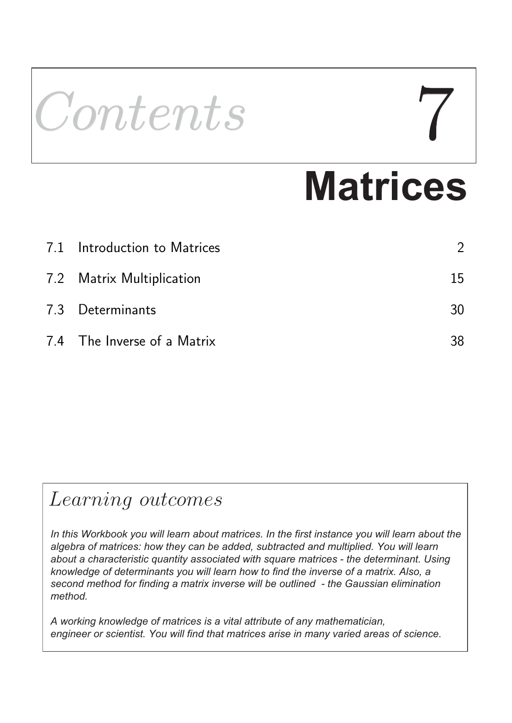# Contents

# **Matrices**

| 7.1 Introduction to Matrices |    |
|------------------------------|----|
| 7.2 Matrix Multiplication    | 15 |
| 7.3 Determinants             | 30 |
| 7.4 The Inverse of a Matrix  | 38 |

# Learning outcomes

*In this Workbook you will learn about matrices. In the first instance you will learn about the algebra of matrices: how they can be added, subtracted and multiplied. You will learn about a characteristic quantity associated with square matrices - the determinant. Using knowledge of determinants you will learn how to find the inverse of a matrix. Also, a second method for finding a matrix inverse will be outlined - the Gaussian elimination method.* 

*A working knowledge of matrices is a vital attribute of any mathematician, engineer or scientist. You will find that matrices arise in many varied areas of science.*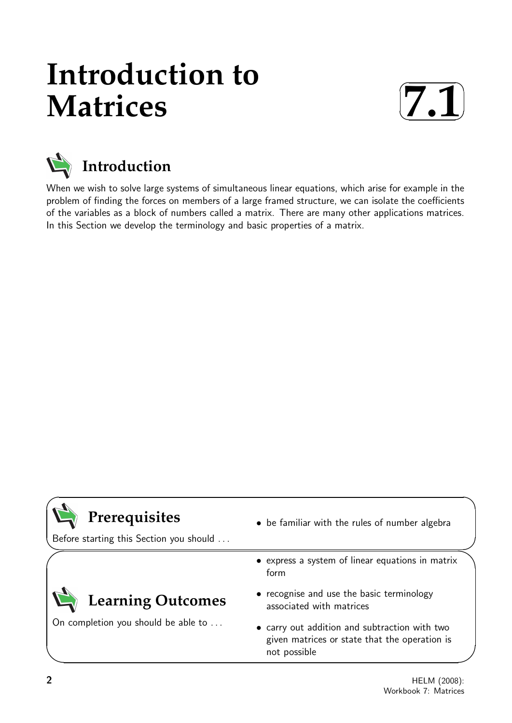# **Introduction to Matrices**





When we wish to solve large systems of simultaneous linear equations, which arise for example in the problem of finding the forces on members of a large framed structure, we can isolate the coefficients of the variables as a block of numbers called a matrix. There are many other applications matrices. In this Section we develop the terminology and basic properties of a matrix.



 $\searrow$ 

 $\ge$ 

# **Prerequisites**

Before starting this Section you should . . .

• be familiar with the rules of number algebra

• express a system of linear equations in matrix

# **Learning Outcomes**

On completion you should be able to ...

- form
- recognise and use the basic terminology associated with matrices
- carry out addition and subtraction with two given matrices or state that the operation is not possible

 $\overline{\phantom{0}}$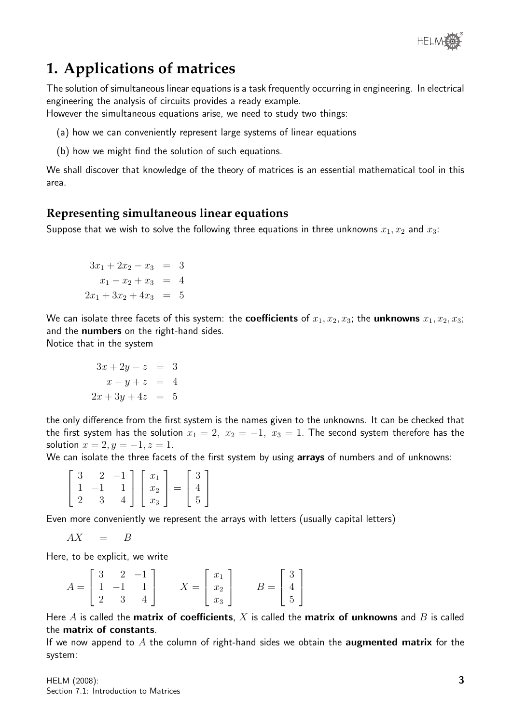

# **1. Applications of matrices**

The solution of simultaneous linear equations is a task frequently occurring in engineering. In electrical engineering the analysis of circuits provides a ready example.

However the simultaneous equations arise, we need to study two things:

- (a) how we can conveniently represent large systems of linear equations
- (b) how we might find the solution of such equations.

We shall discover that knowledge of the theory of matrices is an essential mathematical tool in this area.

#### **Representing simultaneous linear equations**

Suppose that we wish to solve the following three equations in three unknowns  $x_1, x_2$  and  $x_3$ :

$$
3x_1 + 2x_2 - x_3 = 3
$$
  

$$
x_1 - x_2 + x_3 = 4
$$
  

$$
2x_1 + 3x_2 + 4x_3 = 5
$$

We can isolate three facets of this system: the **coefficients** of  $x_1, x_2, x_3$ ; the **unknowns**  $x_1, x_2, x_3$ ; and the **numbers** on the right-hand sides.

Notice that in the system

$$
3x + 2y - z = 3
$$
  

$$
x - y + z = 4
$$
  

$$
2x + 3y + 4z = 5
$$

the only difference from the first system is the names given to the unknowns. It can be checked that the first system has the solution  $x_1 = 2$ ,  $x_2 = -1$ ,  $x_3 = 1$ . The second system therefore has the solution  $x = 2, y = -1, z = 1$ .

We can isolate the three facets of the first system by using arrays of numbers and of unknowns:

|  |  | $\begin{bmatrix} 3 & 2 & -1 \\ 1 & -1 & 1 \\ 2 & 3 & 4 \end{bmatrix} \begin{bmatrix} x_1 \\ x_2 \\ x_3 \end{bmatrix} = \begin{bmatrix} 3 \\ 4 \\ 5 \end{bmatrix}$ |  |  |
|--|--|-------------------------------------------------------------------------------------------------------------------------------------------------------------------|--|--|

Even more conveniently we represent the arrays with letters (usually capital letters)

$$
AX = B
$$

Here, to be explicit, we write

|  | $\begin{bmatrix} 3 & 2 & -1 \end{bmatrix}$     |                                                                     |                                                               |  |
|--|------------------------------------------------|---------------------------------------------------------------------|---------------------------------------------------------------|--|
|  | $A = \begin{bmatrix} 1 & -1 & 1 \end{bmatrix}$ |                                                                     |                                                               |  |
|  |                                                | $X = \left[ \begin{array}{c} x_1 \\ x_2 \\ x_3 \end{array} \right]$ | $B = \left[ \begin{array}{c} 3 \\ 4 \\ 5 \end{array} \right]$ |  |

Here A is called the matrix of coefficients, X is called the matrix of unknowns and B is called the matrix of constants.

If we now append to  $A$  the column of right-hand sides we obtain the **augmented matrix** for the system: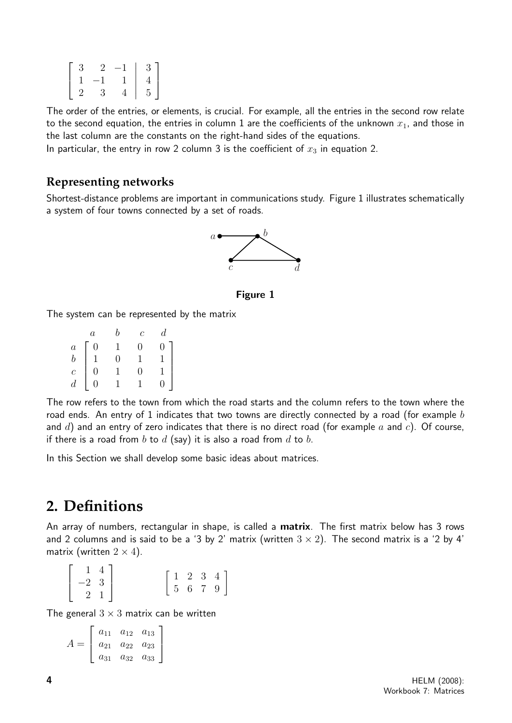| -3           | $2^{\circ}$   | $-1$ | 3 <sup>1</sup> |
|--------------|---------------|------|----------------|
| $\mathbf{1}$ | $-1$          |      |                |
| $\mathbf{r}$ | $\mathcal{R}$ |      | $\overline{5}$ |

The order of the entries, or elements, is crucial. For example, all the entries in the second row relate to the second equation, the entries in column 1 are the coefficients of the unknown  $x_1$ , and those in the last column are the constants on the right-hand sides of the equations.

In particular, the entry in row 2 column 3 is the coefficient of  $x_3$  in equation 2.

#### **Representing networks**

Shortest-distance problems are important in communications study. Figure 1 illustrates schematically a system of four towns connected by a set of roads.



Figure 1

The system can be represented by the matrix

|                                              | $\boldsymbol{a}$                  | h              | $\overline{c}$ | $d_{\cdot}$    |
|----------------------------------------------|-----------------------------------|----------------|----------------|----------------|
|                                              |                                   |                | 0              | $\overline{0}$ |
| $\begin{array}{c} a\\ b\\ c\\ d \end{array}$ | $\begin{matrix}0\1\0\end{matrix}$ | $\overline{0}$ | $\overline{1}$ | $\mathbf{1}$   |
|                                              |                                   |                | 0              | $\frac{1}{1}$  |
|                                              | $\overline{0}$                    |                | $\mathbf{1}$   | $\overline{0}$ |

The row refers to the town from which the road starts and the column refers to the town where the road ends. An entry of 1 indicates that two towns are directly connected by a road (for example  $b$ and  $d$ ) and an entry of zero indicates that there is no direct road (for example  $a$  and  $c$ ). Of course, if there is a road from  $b$  to  $d$  (say) it is also a road from  $d$  to  $b$ .

In this Section we shall develop some basic ideas about matrices.

## **2. Definitions**

An array of numbers, rectangular in shape, is called a **matrix**. The first matrix below has 3 rows and 2 columns and is said to be a '3 by 2' matrix (written  $3 \times 2$ ). The second matrix is a '2 by 4' matrix (written  $2 \times 4$ ).

|                                                                       |  |  |  |  | $\left[\begin{array}{ccc} 1 & 2 & 3 & 4 \\ 5 & 6 & 7 & 9 \end{array}\right]$ |  |
|-----------------------------------------------------------------------|--|--|--|--|------------------------------------------------------------------------------|--|
| $\left[\begin{array}{rr} 1 & 4 \\ -2 & 3 \\ 2 & 1 \end{array}\right]$ |  |  |  |  |                                                                              |  |

The general  $3 \times 3$  matrix can be written

$$
A = \left[ \begin{array}{ccc} a_{11} & a_{12} & a_{13} \\ a_{21} & a_{22} & a_{23} \\ a_{31} & a_{32} & a_{33} \end{array} \right]
$$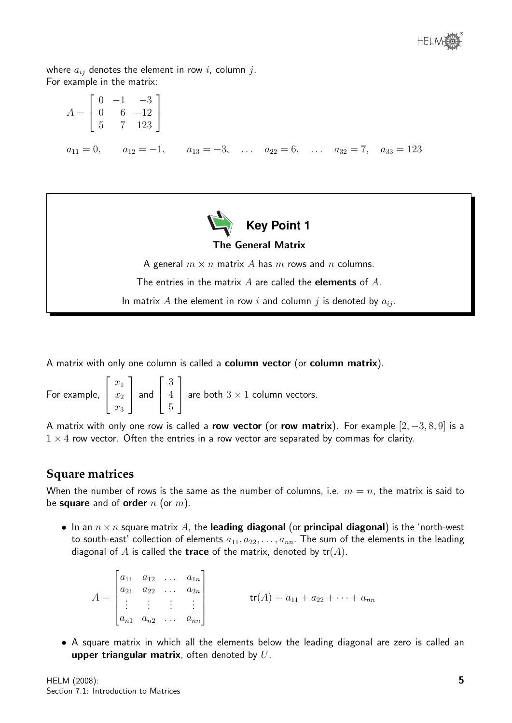

where  $a_{ij}$  denotes the element in row i, column j. For example in the matrix:

| $A = \begin{bmatrix} 0 & -1 & -3 \\ 0 & 6 & -12 \\ 5 & 7 & 123 \end{bmatrix}$               |  |  |  |
|---------------------------------------------------------------------------------------------|--|--|--|
| $a_{11} = 0$ , $a_{12} = -1$ , $a_{13} = -3$ , $a_{22} = 6$ , $a_{32} = 7$ , $a_{33} = 123$ |  |  |  |



#### The General Matrix

A general  $m \times n$  matrix A has m rows and n columns.

The entries in the matrix  $A$  are called the **elements** of  $A$ .

In matrix A the element in row i and column j is denoted by  $a_{ij}$ .

A matrix with only one column is called a column vector (or column matrix).

For example,  $\sqrt{ }$  $\overline{\phantom{a}}$  $\overline{x}_1$  $\overline{x_2}$  $\overline{x_3}$ 1 | and  $\sqrt{ }$  $\overline{\phantom{a}}$ 3 4 5 1 are both  $3 \times 1$  column vectors.

A matrix with only one row is called a row vector (or row matrix). For example  $[2, -3, 8, 9]$  is a  $1 \times 4$  row vector. Often the entries in a row vector are separated by commas for clarity.

#### **Square matrices**

When the number of rows is the same as the number of columns, i.e.  $m = n$ , the matrix is said to be square and of order  $n$  (or  $m$ ).

• In an  $n \times n$  square matrix A, the leading diagonal (or principal diagonal) is the 'north-west to south-east' collection of elements  $a_{11}, a_{22}, \ldots, a_{nn}$ . The sum of the elements in the leading diagonal of A is called the **trace** of the matrix, denoted by  $tr(A)$ .

 $A =$  $\sqrt{ }$   $a_{11}$   $a_{12}$  ...  $a_{1n}$  $a_{21} \quad a_{22} \quad \ldots \quad a_{2n}$ . . . . . . . . . . . .  $a_{n1}$   $a_{n2}$  ...  $a_{nn}$ 1  $\begin{array}{c} \begin{array}{c} \begin{array}{c} \end{array} \\ \begin{array}{c} \end{array} \end{array} \end{array}$  $\mathsf{tr}(A) = a_{11} + a_{22} + \cdots + a_{nn}$ 

• A square matrix in which all the elements below the leading diagonal are zero is called an upper triangular matrix, often denoted by  $U$ .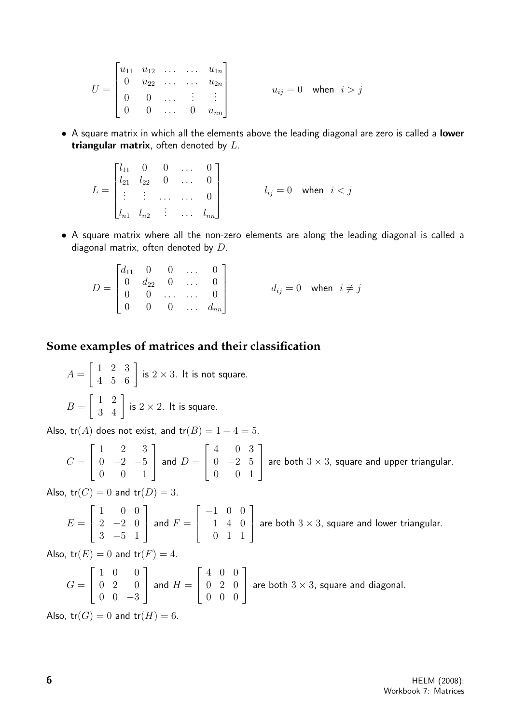| $U = \begin{bmatrix} u_{11} & u_{12} & \cdots & \cdots & u_{1n} \\ 0 & u_{22} & \cdots & \cdots & u_{2n} \\ 0 & 0 & \cdots & \vdots & \vdots \\ 0 & 0 & \cdots & 0 & u_{nn} \end{bmatrix}$ |  |  |  |  | $u_{ij} = 0$ when $i > j$ |
|--------------------------------------------------------------------------------------------------------------------------------------------------------------------------------------------|--|--|--|--|---------------------------|
|                                                                                                                                                                                            |  |  |  |  |                           |

• A square matrix in which all the elements above the leading diagonal are zero is called a lower triangular matrix, often denoted by  $L$ .

| $L = \begin{bmatrix} l_{11} & 0 & 0 & \dots & 0 \\ l_{21} & l_{22} & 0 & \dots & 0 \\ \vdots & \vdots & \dots & \dots & 0 \end{bmatrix}$ |  |                                                                   |                           |  |
|------------------------------------------------------------------------------------------------------------------------------------------|--|-------------------------------------------------------------------|---------------------------|--|
|                                                                                                                                          |  | $\begin{bmatrix} l_{n1} & l_{n2} & \cdots & l_{nn} \end{bmatrix}$ | $l_{ij} = 0$ when $i < j$ |  |

• A square matrix where all the non-zero elements are along the leading diagonal is called a diagonal matrix, often denoted by D.

 $D =$  $\sqrt{ }$  $\Big\}$  $d_{11}$  0 0 ... 0  $0 \t d_{22} \t 0 \t \ldots \t 0$  $0 \quad 0 \quad ... \quad ... \quad 0$  $0 \t 0 \t 0 \t ... \t d_{nn}$ 1  $\overline{\phantom{a}}$  $d_{ij} = 0$  when  $i \neq j$ 

#### **Some examples of matrices and their classification**

 $A =$  $\begin{bmatrix} 1 & 2 & 3 \\ 4 & 5 & 6 \end{bmatrix}$  is  $2 \times 3$ . It is not square.  $B =$  $\begin{bmatrix} 1 & 2 \\ 3 & 4 \end{bmatrix}$  is  $2 \times 2$ . It is square.

Also,  $tr(A)$  does not exist, and  $tr(B) = 1 + 4 = 5$ .

$$
C = \begin{bmatrix} 1 & 2 & 3 \\ 0 & -2 & -5 \\ 0 & 0 & 1 \end{bmatrix}
$$
 and  $D = \begin{bmatrix} 4 & 0 & 3 \\ 0 & -2 & 5 \\ 0 & 0 & 1 \end{bmatrix}$  are both 3 × 3, square and upper triangular.

Also,  $tr(C) = 0$  and  $tr(D) = 3$ .

$$
E = \begin{bmatrix} 1 & 0 & 0 \\ 2 & -2 & 0 \\ 3 & -5 & 1 \end{bmatrix}
$$
 and  $F = \begin{bmatrix} -1 & 0 & 0 \\ 1 & 4 & 0 \\ 0 & 1 & 1 \end{bmatrix}$  are both 3 × 3, square and lower triangular.

Also,  $tr(E) = 0$  and  $tr(F) = 4$ .

$$
G = \begin{bmatrix} 1 & 0 & 0 \\ 0 & 2 & 0 \\ 0 & 0 & -3 \end{bmatrix}
$$
 and  $H = \begin{bmatrix} 4 & 0 & 0 \\ 0 & 2 & 0 \\ 0 & 0 & 0 \end{bmatrix}$  are both 3 × 3, square and diagonal.

Also,  $tr(G) = 0$  and  $tr(H) = 6$ .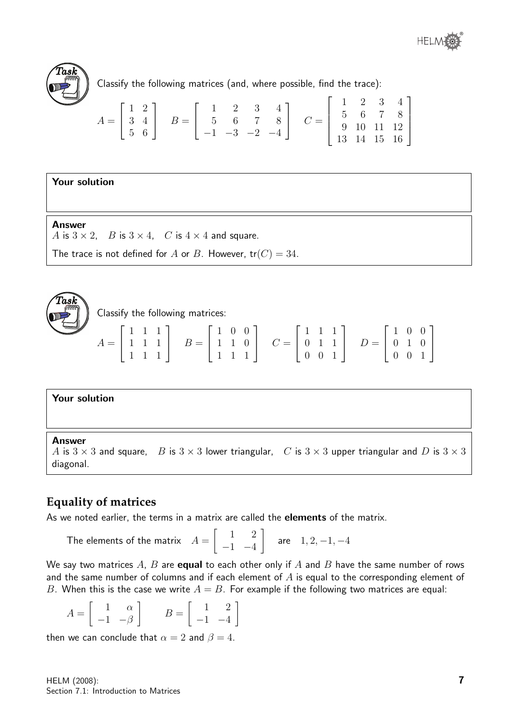



Classify the following matrices (and, where possible, find the trace):

$$
A = \begin{bmatrix} 1 & 2 \\ 3 & 4 \\ 5 & 6 \end{bmatrix} \quad B = \begin{bmatrix} 1 & 2 & 3 & 4 \\ 5 & 6 & 7 & 8 \\ -1 & -3 & -2 & -4 \end{bmatrix} \quad C = \begin{bmatrix} 1 & 2 & 3 & 4 \\ 5 & 6 & 7 & 8 \\ 9 & 10 & 11 & 12 \\ 13 & 14 & 15 & 16 \end{bmatrix}
$$

#### Your solution

#### **Answer**

A is  $3 \times 2$ , B is  $3 \times 4$ , C is  $4 \times 4$  and square.

The trace is not defined for A or B. However,  $tr(C) = 34$ .



Classify the following matrices:

| $A = \left[ \begin{array}{rrr} 1 & 1 & 1 \\ 1 & 1 & 1 \\ 1 & 1 & 1 \end{array} \right] \quad B = \left[ \begin{array}{rrr} 1 & 0 & 0 \\ 1 & 1 & 0 \\ 1 & 1 & 1 \end{array} \right] \quad C = \left[ \begin{array}{rrr} 1 & 1 & 1 \\ 0 & 1 & 1 \\ 0 & 0 & 1 \end{array} \right] \quad D = \left[ \begin{array}{rrr} 1 & 0 & 0 \\ 0 & 1 & 0 \\ 0 & 0 & 1 \end{array} \right]$ |  |  |  |  |  |
|-----------------------------------------------------------------------------------------------------------------------------------------------------------------------------------------------------------------------------------------------------------------------------------------------------------------------------------------------------------------------------|--|--|--|--|--|
|-----------------------------------------------------------------------------------------------------------------------------------------------------------------------------------------------------------------------------------------------------------------------------------------------------------------------------------------------------------------------------|--|--|--|--|--|

#### Your solution

#### Answer

```
A is 3 \times 3 and square, B is 3 \times 3 lower triangular, C is 3 \times 3 upper triangular and D is 3 \times 3diagonal.
```
#### **Equality of matrices**

As we noted earlier, the terms in a matrix are called the **elements** of the matrix.

The elements of the matrix 
$$
A = \begin{bmatrix} 1 & 2 \\ -1 & -4 \end{bmatrix}
$$
 are  $1, 2, -1, -4$ 

We say two matrices  $A$ ,  $B$  are **equal** to each other only if  $A$  and  $B$  have the same number of rows and the same number of columns and if each element of  $A$  is equal to the corresponding element of B. When this is the case we write  $A = B$ . For example if the following two matrices are equal:

| $A = \begin{bmatrix} 1 & \alpha \\ -1 & -\beta \end{bmatrix}$ $B = \begin{bmatrix} 1 & 2 \\ -1 & -4 \end{bmatrix}$ |  |  |
|--------------------------------------------------------------------------------------------------------------------|--|--|
|--------------------------------------------------------------------------------------------------------------------|--|--|

then we can conclude that  $\alpha = 2$  and  $\beta = 4$ .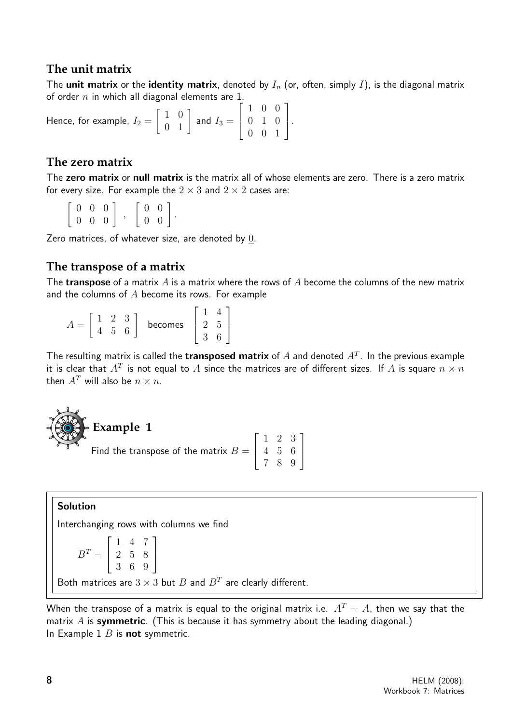#### **The unit matrix**

The unit matrix or the identity matrix, denoted by  $I_n$  (or, often, simply I), is the diagonal matrix of order  $n$  in which all diagonal elements are 1.

Hence, for example,  $I_2 =$  $\left[\begin{array}{cc} 1 & 0 \\ 0 & 1 \end{array}\right]$  and  $I_3 =$  $\sqrt{ }$  $\overline{1}$ 1 0 0 0 1 0 0 0 1 1  $\vert \cdot$ 

#### **The zero matrix**

The zero matrix or null matrix is the matrix all of whose elements are zero. There is a zero matrix for every size. For example the  $2 \times 3$  and  $2 \times 2$  cases are:

 $\left[ \begin{array}{ccc} 0 & 0 & 0 \\ 0 & 0 & 0 \end{array} \right]$ ,  $\left[\begin{array}{cc} 0 & 0 \\ 0 & 0 \end{array}\right].$ 

Zero matrices, of whatever size, are denoted by 0.

#### **The transpose of a matrix**

The transpose of a matrix  $A$  is a matrix where the rows of  $A$  become the columns of the new matrix and the columns of  $A$  become its rows. For example

|  | $\lq$ | $\mathbf{P}$ |         |         |  |
|--|-------|--------------|---------|---------|--|
|  |       |              | becomes | $\cdot$ |  |
|  |       |              |         |         |  |

The resulting matrix is called the transposed matrix of  $A$  and denoted  $A^T$ . In the previous example it is clear that  $A^T$  is not equal to  $A$  since the matrices are of different sizes. If  $A$  is square  $n \times n$ then  $A^T$  will also be  $n \times n$ .

| $\blacktriangleright$ Example 1                                                                          |  |  |
|----------------------------------------------------------------------------------------------------------|--|--|
|                                                                                                          |  |  |
| Find the transpose of the matrix $B = \begin{bmatrix} 1 & 2 & 3 \\ 4 & 5 & 6 \\ 7 & 8 & 9 \end{bmatrix}$ |  |  |
|                                                                                                          |  |  |

#### Solution

Interchanging rows with columns we find

 $B^T =$  $\sqrt{ }$  $\overline{1}$ 1 4 7 2 5 8 3 6 9 1  $\overline{1}$ Both matrices are  $3 \times 3$  but  $B$  and  $B<sup>T</sup>$  are clearly different.

When the transpose of a matrix is equal to the original matrix i.e.  $A<sup>T</sup> = A$ , then we say that the matrix  $A$  is symmetric. (This is because it has symmetry about the leading diagonal.) In Example 1  $B$  is not symmetric.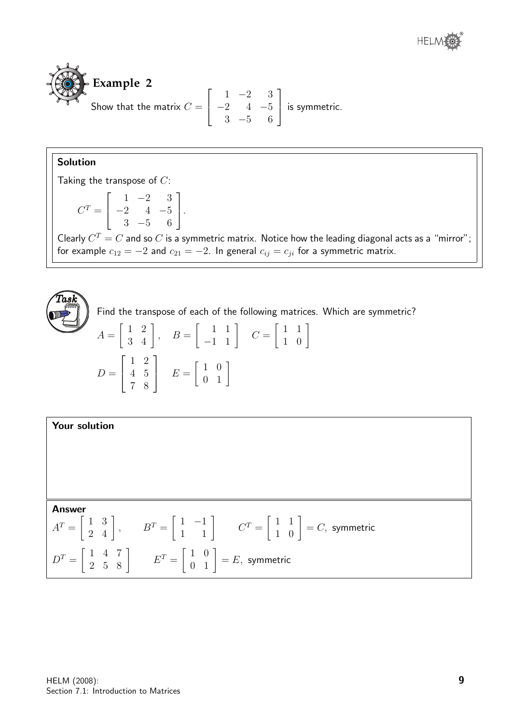



#### Solution

Taking the transpose of  $C$ :

$$
C^{T} = \begin{bmatrix} 1 & -2 & 3 \\ -2 & 4 & -5 \\ 3 & -5 & 6 \end{bmatrix}.
$$

Clearly  $C^T = C$  and so  $C$  is a symmetric matrix. Notice how the leading diagonal acts as a "mirror"; for example  $c_{12} = -2$  and  $c_{21} = -2$ . In general  $c_{ij} = c_{ji}$  for a symmetric matrix.



Find the transpose of each of the following matrices. Which are symmetric?

$$
A = \begin{bmatrix} 1 & 2 \\ 3 & 4 \end{bmatrix}, \quad B = \begin{bmatrix} 1 & 1 \\ -1 & 1 \end{bmatrix} \quad C = \begin{bmatrix} 1 & 1 \\ 1 & 0 \end{bmatrix}
$$

$$
D = \begin{bmatrix} 1 & 2 \\ 4 & 5 \\ 7 & 8 \end{bmatrix} \quad E = \begin{bmatrix} 1 & 0 \\ 0 & 1 \end{bmatrix}
$$

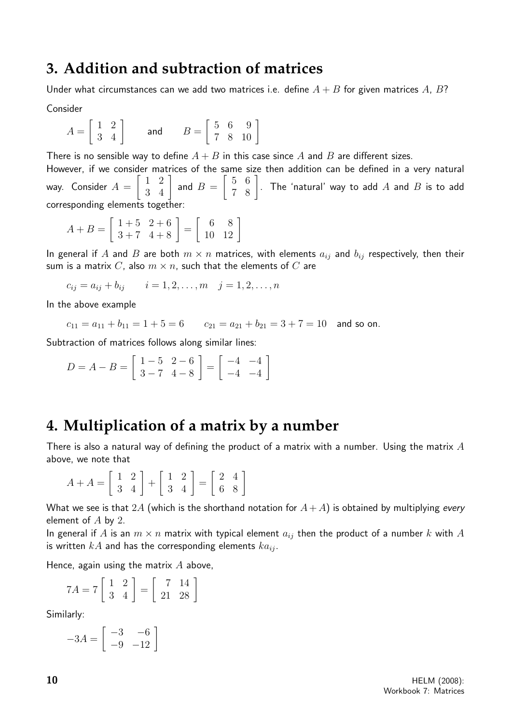### **3. Addition and subtraction of matrices**

Under what circumstances can we add two matrices i.e. define  $A + B$  for given matrices A, B?

Consider

$$
A = \begin{bmatrix} 1 & 2 \\ 3 & 4 \end{bmatrix} \qquad \text{and} \qquad B = \begin{bmatrix} 5 & 6 & 9 \\ 7 & 8 & 10 \end{bmatrix}
$$

There is no sensible way to define  $A + B$  in this case since A and B are different sizes.

However, if we consider matrices of the same size then addition can be defined in a very natural way. Consider  $A =$  $\begin{bmatrix} 1 & 2 \\ 3 & 4 \end{bmatrix}$  and  $B =$  $\begin{bmatrix} 5 & 6 \ 7 & 8 \end{bmatrix}$ . The 'natural' way to add  $A$  and  $B$  is to add corresponding elements together:

$$
A + B = \left[ \begin{array}{rr} 1+5 & 2+6 \\ 3+7 & 4+8 \end{array} \right] = \left[ \begin{array}{rr} 6 & 8 \\ 10 & 12 \end{array} \right]
$$

In general if A and B are both  $m \times n$  matrices, with elements  $a_{ij}$  and  $b_{ij}$  respectively, then their sum is a matrix C, also  $m \times n$ , such that the elements of C are

$$
c_{ij} = a_{ij} + b_{ij}
$$
  $i = 1, 2, ..., m$   $j = 1, 2, ..., n$ 

In the above example

$$
c_{11} = a_{11} + b_{11} = 1 + 5 = 6
$$
  $c_{21} = a_{21} + b_{21} = 3 + 7 = 10$  and so on.

Subtraction of matrices follows along similar lines:

$$
D = A - B = \begin{bmatrix} 1 - 5 & 2 - 6 \\ 3 - 7 & 4 - 8 \end{bmatrix} = \begin{bmatrix} -4 & -4 \\ -4 & -4 \end{bmatrix}
$$

### **4. Multiplication of a matrix by a number**

There is also a natural way of defining the product of a matrix with a number. Using the matrix  $A$ above, we note that

$$
A + A = \begin{bmatrix} 1 & 2 \\ 3 & 4 \end{bmatrix} + \begin{bmatrix} 1 & 2 \\ 3 & 4 \end{bmatrix} = \begin{bmatrix} 2 & 4 \\ 6 & 8 \end{bmatrix}
$$

What we see is that 2A (which is the shorthand notation for  $A+A$ ) is obtained by multiplying every element of  $A$  by 2.

In general if A is an  $m \times n$  matrix with typical element  $a_{ij}$  then the product of a number k with A is written  $kA$  and has the corresponding elements  $ka_{ij}$ .

Hence, again using the matrix  $A$  above,

$$
7A = 7\left[\begin{array}{cc} 1 & 2 \\ 3 & 4 \end{array}\right] = \left[\begin{array}{cc} 7 & 14 \\ 21 & 28 \end{array}\right]
$$

Similarly:

$$
-3A = \begin{bmatrix} -3 & -6 \\ -9 & -12 \end{bmatrix}
$$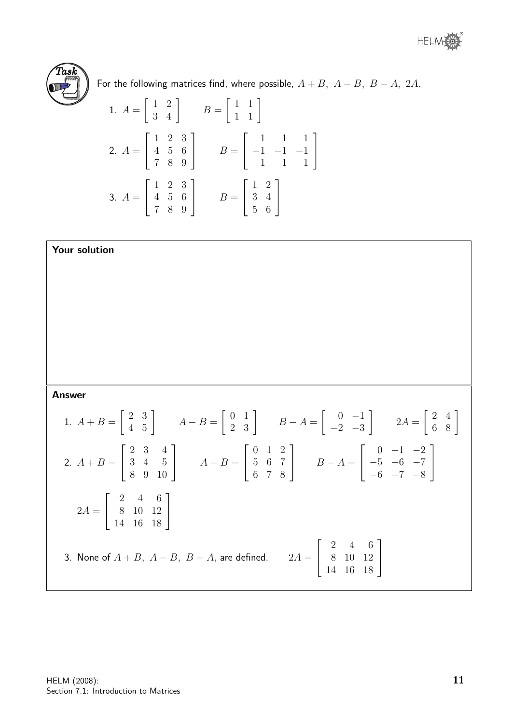

For the following matrices find, where possible,  $A + B$ ,  $A - B$ ,  $B - A$ , 2A.

1. 
$$
A = \begin{bmatrix} 1 & 2 \\ 3 & 4 \end{bmatrix}
$$
  $B = \begin{bmatrix} 1 & 1 \\ 1 & 1 \end{bmatrix}$   
\n2.  $A = \begin{bmatrix} 1 & 2 & 3 \\ 4 & 5 & 6 \\ 7 & 8 & 9 \end{bmatrix}$   $B = \begin{bmatrix} 1 & 1 & 1 \\ -1 & -1 & -1 \\ 1 & 1 & 1 \end{bmatrix}$   
\n3.  $A = \begin{bmatrix} 1 & 2 & 3 \\ 4 & 5 & 6 \\ 7 & 8 & 9 \end{bmatrix}$   $B = \begin{bmatrix} 1 & 2 \\ 3 & 4 \\ 5 & 6 \end{bmatrix}$ 

Your solution

Answer

1. 
$$
A + B = \begin{bmatrix} 2 & 3 \\ 4 & 5 \end{bmatrix}
$$
  $A - B = \begin{bmatrix} 0 & 1 \\ 2 & 3 \end{bmatrix}$   $B - A = \begin{bmatrix} 0 & -1 \\ -2 & -3 \end{bmatrix}$   $2A = \begin{bmatrix} 2 & 4 \\ 6 & 8 \end{bmatrix}$   
\n2.  $A + B = \begin{bmatrix} 2 & 3 & 4 \\ 3 & 4 & 5 \\ 8 & 9 & 10 \end{bmatrix}$   $A - B = \begin{bmatrix} 0 & 1 & 2 \\ 5 & 6 & 7 \\ 6 & 7 & 8 \end{bmatrix}$   $B - A = \begin{bmatrix} 0 & -1 & -2 \\ -5 & -6 & -7 \\ -6 & -7 & -8 \end{bmatrix}$   
\n2.  $A = \begin{bmatrix} 2 & 4 & 6 \\ 8 & 10 & 12 \\ 14 & 16 & 18 \end{bmatrix}$   
\n3. None of  $A + B$ ,  $A - B$ ,  $B - A$ , are defined.  $2A = \begin{bmatrix} 2 & 4 & 6 \\ 8 & 10 & 12 \\ 14 & 16 & 18 \end{bmatrix}$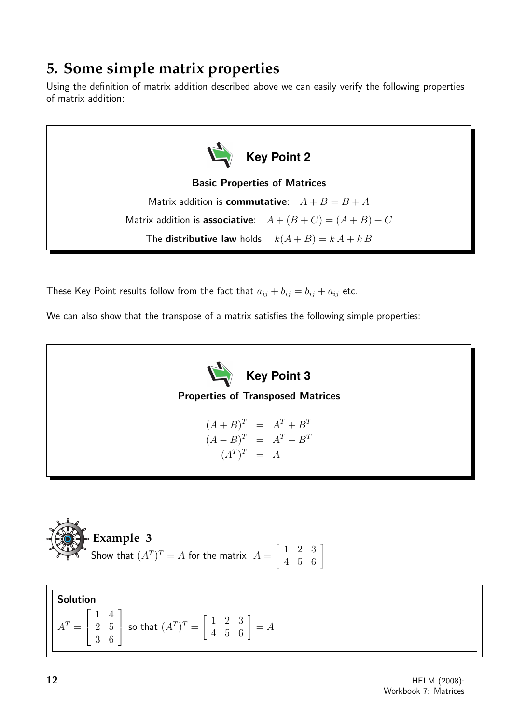# **5. Some simple matrix properties**

Using the definition of matrix addition described above we can easily verify the following properties of matrix addition:

**Key Point 2** Basic Properties of Matrices Matrix addition is **commutative**:  $A + B = B + A$ Matrix addition is **associative**:  $A + (B + C) = (A + B) + C$ The **distributive law** holds:  $k(A + B) = kA + kB$ 

These Key Point results follow from the fact that  $a_{ij} + b_{ij} = b_{ij} + a_{ij}$  etc.

We can also show that the transpose of a matrix satisfies the following simple properties:

**Key Point 3** Properties of Transposed Matrices  $(A + B)^T = A^T + B^T$ 

$$
(A - B)T = AT - BT
$$

$$
(AT)T = A
$$



Solution  $A^T =$  $\sqrt{ }$  $\overline{1}$ 1 4 2 5 3 6 1 so that  $(A^T)^T = \begin{bmatrix} 1 & 2 & 3 \\ 4 & 5 & 6 \end{bmatrix} = A$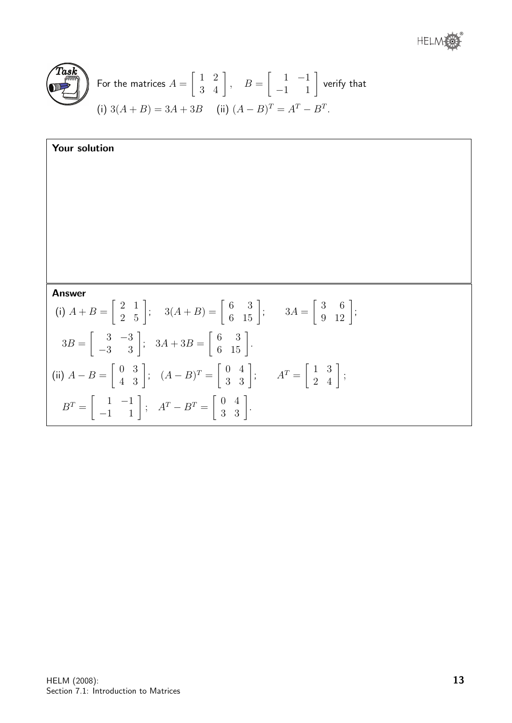

For the matrices 
$$
A = \begin{bmatrix} 1 & 2 \\ 3 & 4 \end{bmatrix}
$$
,  $B = \begin{bmatrix} 1 & -1 \\ -1 & 1 \end{bmatrix}$  verify that  
(i)  $3(A + B) = 3A + 3B$  (ii)  $(A - B)^{T} = A^{T} - B^{T}$ .

| Your solution                                                                                                                                                                         |
|---------------------------------------------------------------------------------------------------------------------------------------------------------------------------------------|
|                                                                                                                                                                                       |
|                                                                                                                                                                                       |
|                                                                                                                                                                                       |
|                                                                                                                                                                                       |
| <b>Answer</b>                                                                                                                                                                         |
| (i) $A + B = \begin{bmatrix} 2 & 1 \\ 2 & 5 \end{bmatrix}$ ; $3(A + B) = \begin{bmatrix} 6 & 3 \\ 6 & 15 \end{bmatrix}$ ; $3A = \begin{bmatrix} 3 & 6 \\ 9 & 12 \end{bmatrix}$ ;      |
| $3B = \begin{bmatrix} 3 & -3 \\ -3 & 3 \end{bmatrix}; 3A + 3B = \begin{bmatrix} 6 & 3 \\ 6 & 15 \end{bmatrix}.$                                                                       |
| (ii) $A - B = \begin{bmatrix} 0 & 3 \\ 4 & 3 \end{bmatrix}$ ; $(A - B)^{T} = \begin{bmatrix} 0 & 4 \\ 3 & 3 \end{bmatrix}$ ; $A^{T} = \begin{bmatrix} 1 & 3 \\ 2 & 4 \end{bmatrix}$ ; |
| $B^T = \left[ \begin{array}{rr} 1 & -1 \\ -1 & 1 \end{array} \right]; \quad A^T - B^T = \left[ \begin{array}{rr} 0 & 4 \\ 3 & 3 \end{array} \right].$                                 |